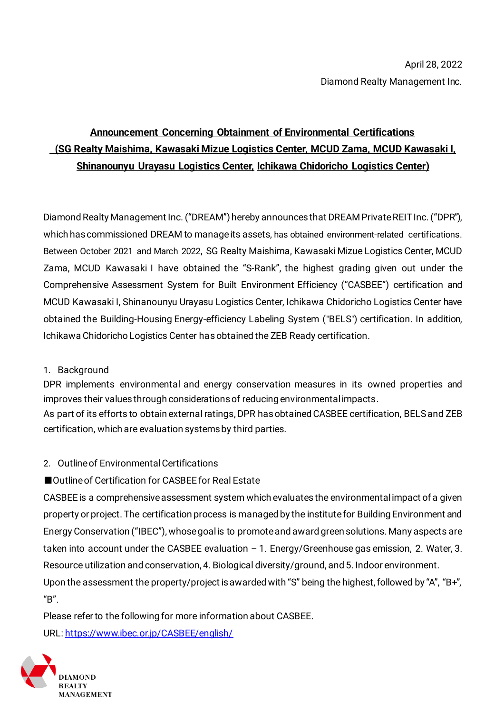# **Announcement Concerning Obtainment of Environmental Certifications (SG Realty Maishima, Kawasaki Mizue Logistics Center, MCUD Zama, MCUD Kawasaki I, Shinanounyu Urayasu Logistics Center, Ichikawa Chidoricho Logistics Center)**

Diamond Realty Management Inc. ("DREAM") hereby announces that DREAM Private REIT Inc. ("DPR"), which has commissioned DREAM to manage its assets, has obtained environment-related certifications. Between October 2021 and March 2022, SG Realty Maishima, Kawasaki Mizue Logistics Center, MCUD Zama, MCUD Kawasaki I have obtained the "S-Rank", the highest grading given out under the Comprehensive Assessment System for Built Environment Efficiency ("CASBEE") certification and MCUD Kawasaki I, Shinanounyu Urayasu Logistics Center, Ichikawa Chidoricho Logistics Center have obtained the Building-Housing Energy-efficiency Labeling System ("BELS") certification. In addition, Ichikawa Chidoricho Logistics Center hasobtained the ZEB Ready certification.

## 1. Background

DPR implements environmental and energy conservation measures in its owned properties and improves their values through considerations of reducing environmental impacts.

As part of its efforts to obtain external ratings, DPR has obtained CASBEE certification, BELS and ZEB certification, which are evaluation systems by third parties.

## 2. Outline of Environmental Certifications

# ■ Outline of Certification for CASBEE for Real Estate

CASBEE is a comprehensive assessment system which evaluates the environmental impact of a given property or project. The certification process is managed by the institute for Building Environment and Energy Conservation ("IBEC"), whose goal is to promote and award green solutions. Many aspects are taken into account under the CASBEE evaluation – 1. Energy/Greenhouse gas emission, 2. Water, 3. Resource utilization and conservation, 4. Biological diversity/ground, and 5. Indoor environment. Upon the assessment the property/project is awarded with "S" being the highest, followed by "A", "B+", "B".

Please refer to the following for more information about CASBEE. URL[: https://www.ibec.or.jp/CASBEE/english/](https://www.ibec.or.jp/CASBEE/english/)

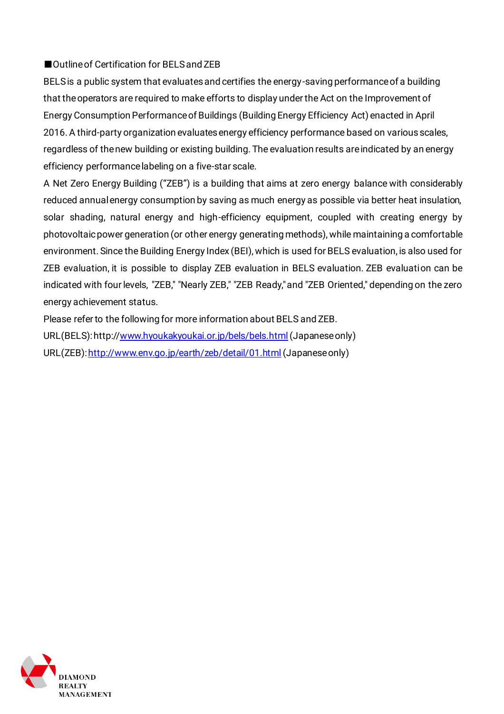### ■Outline of Certification for BELS and ZEB

BELS is a public system that evaluates and certifies the energy-saving performance of a building that the operators are required to make efforts to display under the Act on the Improvement of Energy Consumption Performance of Buildings (Building Energy Efficiency Act) enacted in April 2016. A third-party organization evaluates energy efficiency performance based on various scales, regardless of the new building or existing building. The evaluation results are indicated by an energy efficiency performance labeling on a five-star scale.

A Net Zero Energy Building ("ZEB") is a building that aims at zero energy balance with considerably reduced annual energy consumption by saving as much energy as possible via better heat insulation, solar shading, natural energy and high-efficiency equipment, coupled with creating energy by photovoltaic power generation (or other energy generating methods), while maintaining a comfortable environment. Since the Building Energy Index (BEI), which is used for BELS evaluation, is also used for ZEB evaluation, it is possible to display ZEB evaluation in BELS evaluation. ZEB evaluation can be indicated with four levels, "ZEB," "Nearly ZEB," "ZEB Ready," and "ZEB Oriented," depending on the zero energy achievement status.

Please refer to the following for more information about BELS and ZEB. URL(BELS): http:[//www.hyoukakyoukai.or.jp/bels/bels.html](http://www.hyoukakyoukai.or.jp/bels/bels.html)(Japanese only) URL(ZEB)[: http://www.env.go.jp/earth/zeb/detail/01.html](http://www.env.go.jp/earth/zeb/detail/01.html)(Japanese only)

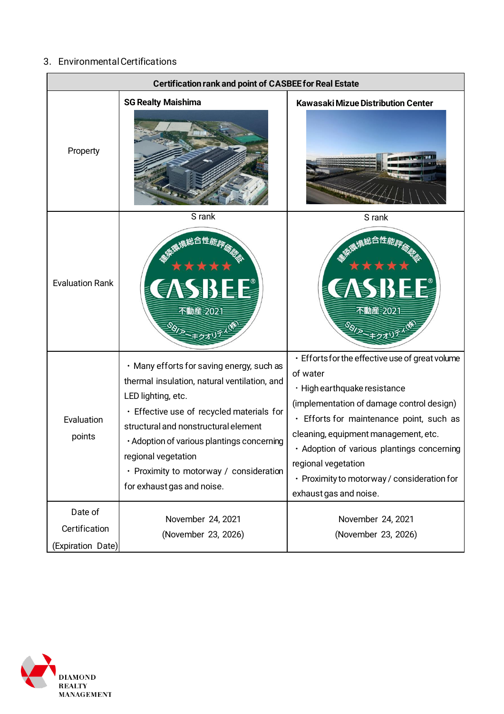# 3.Environmental Certifications

| <b>Certification rank and point of CASBEE for Real Estate</b> |                                                                                                                                                                                                                                                                                                                                                    |                                                                                                                                                                                                                                                                                                                                                                            |  |
|---------------------------------------------------------------|----------------------------------------------------------------------------------------------------------------------------------------------------------------------------------------------------------------------------------------------------------------------------------------------------------------------------------------------------|----------------------------------------------------------------------------------------------------------------------------------------------------------------------------------------------------------------------------------------------------------------------------------------------------------------------------------------------------------------------------|--|
| Property                                                      | <b>SG Realty Maishima</b>                                                                                                                                                                                                                                                                                                                          | Kawasaki Mizue Distribution Center                                                                                                                                                                                                                                                                                                                                         |  |
| <b>Evaluation Rank</b>                                        | S rank<br><b>BIDLI</b><br>不動産 2021                                                                                                                                                                                                                                                                                                                 | S rank<br>DIST<br>不動産 2021                                                                                                                                                                                                                                                                                                                                                 |  |
| Evaluation<br>points                                          | · Many efforts for saving energy, such as<br>thermal insulation, natural ventilation, and<br>LED lighting, etc.<br>· Effective use of recycled materials for<br>structural and nonstructural element<br>· Adoption of various plantings concerning<br>regional vegetation<br>· Proximity to motorway / consideration<br>for exhaust gas and noise. | · Efforts for the effective use of great volume<br>of water<br>· High earthquake resistance<br>(implementation of damage control design)<br>· Efforts for maintenance point, such as<br>cleaning, equipment management, etc.<br>· Adoption of various plantings concerning<br>regional vegetation<br>· Proximity to motorway / consideration for<br>exhaust gas and noise. |  |
| Date of<br>Certification<br>(Expiration Date)                 | November 24, 2021<br>(November 23, 2026)                                                                                                                                                                                                                                                                                                           | November 24, 2021<br>(November 23, 2026)                                                                                                                                                                                                                                                                                                                                   |  |

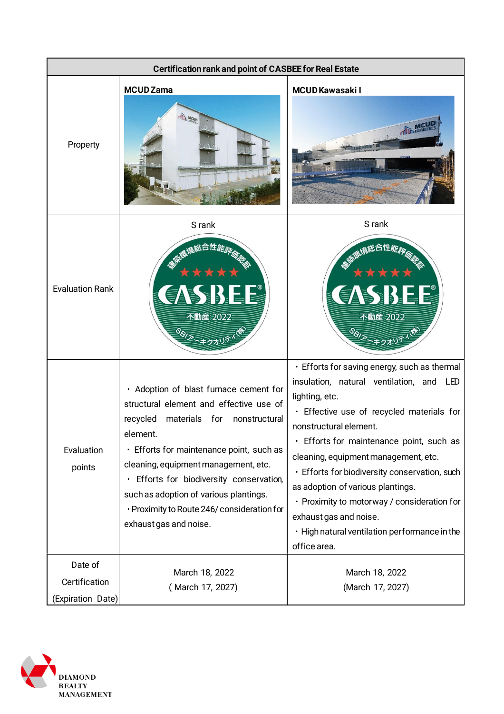| <b>Certification rank and point of CASBEE for Real Estate</b> |                                                                                                                                                                                                                                                                                                                                                                                                |                                                                                                                                                                                                                                                                                                                                                                                                                                                                                                       |
|---------------------------------------------------------------|------------------------------------------------------------------------------------------------------------------------------------------------------------------------------------------------------------------------------------------------------------------------------------------------------------------------------------------------------------------------------------------------|-------------------------------------------------------------------------------------------------------------------------------------------------------------------------------------------------------------------------------------------------------------------------------------------------------------------------------------------------------------------------------------------------------------------------------------------------------------------------------------------------------|
| Property                                                      | <b>MCUD Zama</b><br><b>TID</b> MCUD                                                                                                                                                                                                                                                                                                                                                            | <b>MCUD Kawasaki I</b>                                                                                                                                                                                                                                                                                                                                                                                                                                                                                |
| <b>Evaluation Rank</b>                                        | S rank<br>総合性能評价<br>BID.<br>不動産 2022                                                                                                                                                                                                                                                                                                                                                           | S rank<br>総合性能評価<br>E B<br>不動産 2022                                                                                                                                                                                                                                                                                                                                                                                                                                                                   |
| Evaluation<br>points                                          | · Adoption of blast furnace cement for<br>structural element and effective use of<br>recycled<br>materials for<br>nonstructural<br>element.<br>· Efforts for maintenance point, such as<br>cleaning, equipment management, etc.<br>· Efforts for biodiversity conservation,<br>such as adoption of various plantings.<br>· Proximity to Route 246/ consideration for<br>exhaust gas and noise. | • Efforts for saving energy, such as thermal<br>insulation, natural ventilation, and LED<br>lighting, etc.<br>· Effective use of recycled materials for<br>nonstructural element.<br>· Efforts for maintenance point, such as<br>cleaning, equipment management, etc.<br>· Efforts for biodiversity conservation, such<br>as adoption of various plantings.<br>• Proximity to motorway / consideration for<br>exhaust gas and noise.<br>· High natural ventilation performance in the<br>office area. |
| Date of<br>Certification<br>(Expiration Date)                 | March 18, 2022<br>(March 17, 2027)                                                                                                                                                                                                                                                                                                                                                             | March 18, 2022<br>(March 17, 2027)                                                                                                                                                                                                                                                                                                                                                                                                                                                                    |

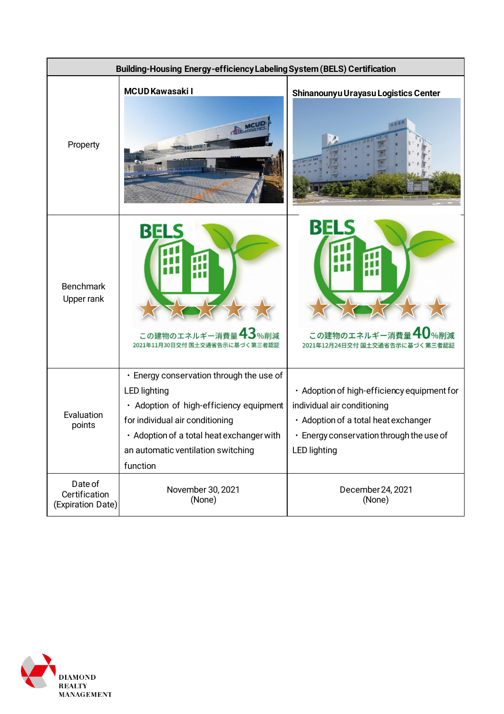

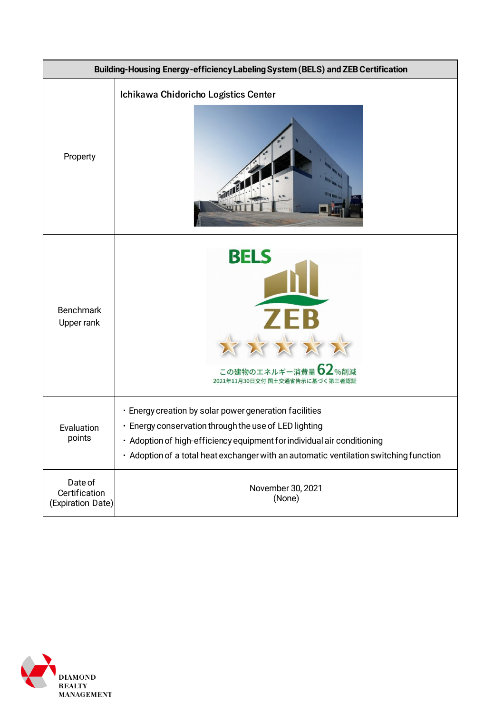